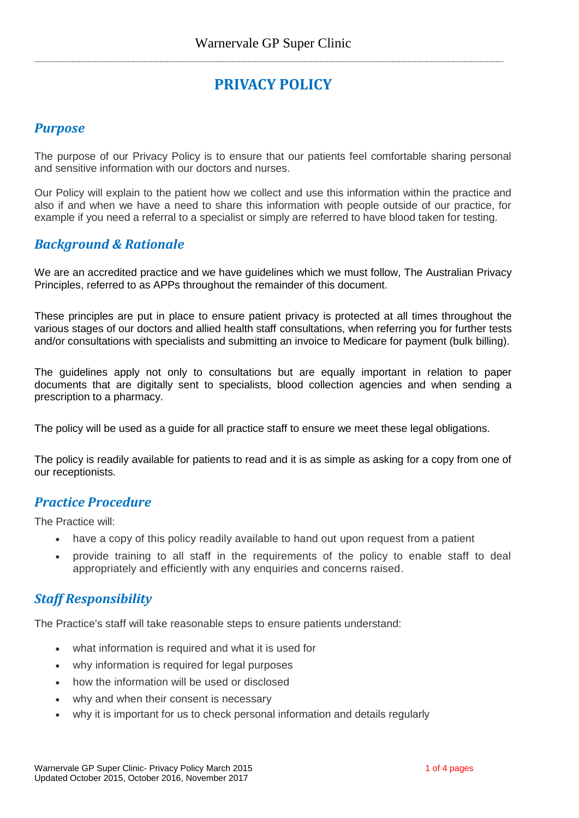**\_\_\_\_\_\_\_\_\_\_\_\_\_\_\_\_\_\_\_\_\_\_\_\_\_\_\_\_\_\_\_\_\_\_\_\_\_\_\_\_\_\_\_\_\_\_\_\_\_\_\_\_\_\_\_\_\_\_\_\_\_\_\_\_\_\_\_\_\_\_\_\_\_\_\_\_\_\_\_\_\_\_\_\_\_**

# **PRIVACY POLICY**

#### *Purpose*

The purpose of our Privacy Policy is to ensure that our patients feel comfortable sharing personal and sensitive information with our doctors and nurses.

Our Policy will explain to the patient how we collect and use this information within the practice and also if and when we have a need to share this information with people outside of our practice, for example if you need a referral to a specialist or simply are referred to have blood taken for testing.

#### *Background & Rationale*

We are an accredited practice and we have guidelines which we must follow, The Australian Privacy Principles, referred to as APPs throughout the remainder of this document.

These principles are put in place to ensure patient privacy is protected at all times throughout the various stages of our doctors and allied health staff consultations, when referring you for further tests and/or consultations with specialists and submitting an invoice to Medicare for payment (bulk billing).

The guidelines apply not only to consultations but are equally important in relation to paper documents that are digitally sent to specialists, blood collection agencies and when sending a prescription to a pharmacy.

The policy will be used as a guide for all practice staff to ensure we meet these legal obligations.

The policy is readily available for patients to read and it is as simple as asking for a copy from one of our receptionists.

#### *Practice Procedure*

The Practice will:

- have a copy of this policy readily available to hand out upon request from a patient
- provide training to all staff in the requirements of the policy to enable staff to deal appropriately and efficiently with any enquiries and concerns raised.

## *Staff Responsibility*

The Practice's staff will take reasonable steps to ensure patients understand:

- what information is required and what it is used for
- why information is required for legal purposes
- how the information will be used or disclosed
- why and when their consent is necessary
- why it is important for us to check personal information and details regularly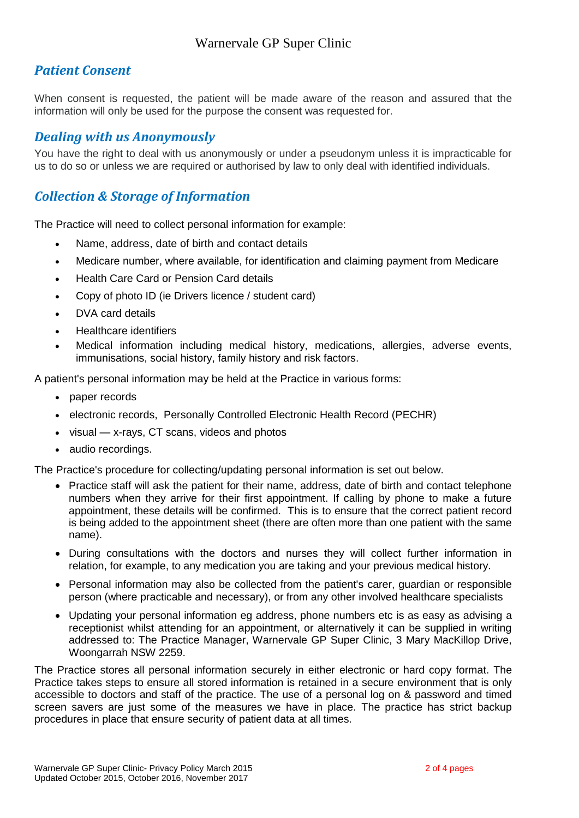# *Patient Consent*

When consent is requested, the patient will be made aware of the reason and assured that the information will only be used for the purpose the consent was requested for.

#### *Dealing with us Anonymously*

You have the right to deal with us anonymously or under a pseudonym unless it is impracticable for us to do so or unless we are required or authorised by law to only deal with identified individuals.

## *Collection & Storage of Information*

The Practice will need to collect personal information for example:

- Name, address, date of birth and contact details
- Medicare number, where available, for identification and claiming payment from Medicare
- Health Care Card or Pension Card details
- Copy of photo ID (ie Drivers licence / student card)
- DVA card details
- Healthcare identifiers
- Medical information including medical history, medications, allergies, adverse events, immunisations, social history, family history and risk factors.

A patient's personal information may be held at the Practice in various forms:

- paper records
- electronic records, Personally Controlled Electronic Health Record (PECHR)
- visual x-rays, CT scans, videos and photos
- audio recordings.

The Practice's procedure for collecting/updating personal information is set out below.

- Practice staff will ask the patient for their name, address, date of birth and contact telephone numbers when they arrive for their first appointment. If calling by phone to make a future appointment, these details will be confirmed. This is to ensure that the correct patient record is being added to the appointment sheet (there are often more than one patient with the same name).
- During consultations with the doctors and nurses they will collect further information in relation, for example, to any medication you are taking and your previous medical history.
- Personal information may also be collected from the patient's carer, guardian or responsible person (where practicable and necessary), or from any other involved healthcare specialists
- Updating your personal information eg address, phone numbers etc is as easy as advising a receptionist whilst attending for an appointment, or alternatively it can be supplied in writing addressed to: The Practice Manager, Warnervale GP Super Clinic, 3 Mary MacKillop Drive, Woongarrah NSW 2259.

The Practice stores all personal information securely in either electronic or hard copy format. The Practice takes steps to ensure all stored information is retained in a secure environment that is only accessible to doctors and staff of the practice. The use of a personal log on & password and timed screen savers are just some of the measures we have in place. The practice has strict backup procedures in place that ensure security of patient data at all times.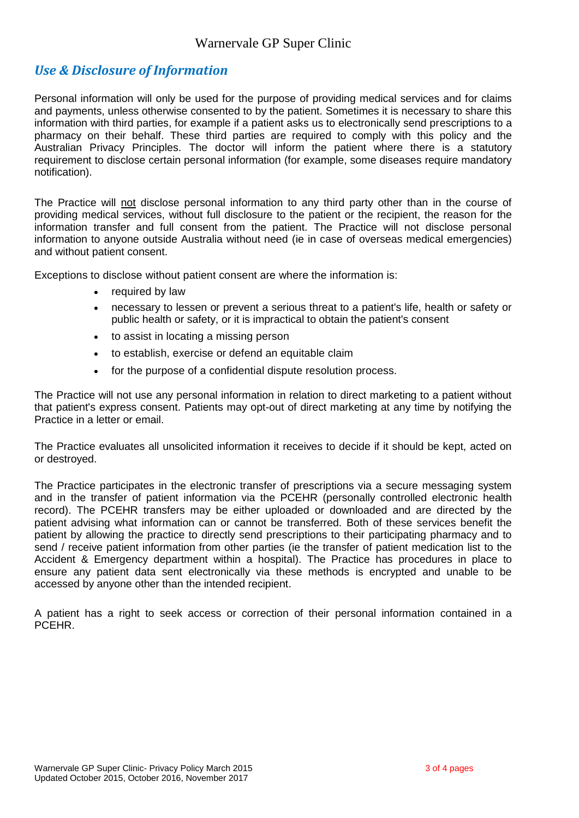# *Use & Disclosure of Information*

Personal information will only be used for the purpose of providing medical services and for claims and payments, unless otherwise consented to by the patient. Sometimes it is necessary to share this information with third parties, for example if a patient asks us to electronically send prescriptions to a pharmacy on their behalf. These third parties are required to comply with this policy and the Australian Privacy Principles. The doctor will inform the patient where there is a statutory requirement to disclose certain personal information (for example, some diseases require mandatory notification).

The Practice will not disclose personal information to any third party other than in the course of providing medical services, without full disclosure to the patient or the recipient, the reason for the information transfer and full consent from the patient. The Practice will not disclose personal information to anyone outside Australia without need (ie in case of overseas medical emergencies) and without patient consent.

Exceptions to disclose without patient consent are where the information is:

- required by law
- necessary to lessen or prevent a serious threat to a patient's life, health or safety or public health or safety, or it is impractical to obtain the patient's consent
- to assist in locating a missing person
- to establish, exercise or defend an equitable claim
- for the purpose of a confidential dispute resolution process.

The Practice will not use any personal information in relation to direct marketing to a patient without that patient's express consent. Patients may opt-out of direct marketing at any time by notifying the Practice in a letter or email.

The Practice evaluates all unsolicited information it receives to decide if it should be kept, acted on or destroyed.

The Practice participates in the electronic transfer of prescriptions via a secure messaging system and in the transfer of patient information via the PCEHR (personally controlled electronic health record). The PCEHR transfers may be either uploaded or downloaded and are directed by the patient advising what information can or cannot be transferred. Both of these services benefit the patient by allowing the practice to directly send prescriptions to their participating pharmacy and to send / receive patient information from other parties (ie the transfer of patient medication list to the Accident & Emergency department within a hospital). The Practice has procedures in place to ensure any patient data sent electronically via these methods is encrypted and unable to be accessed by anyone other than the intended recipient.

A patient has a right to seek access or correction of their personal information contained in a PCEHR.